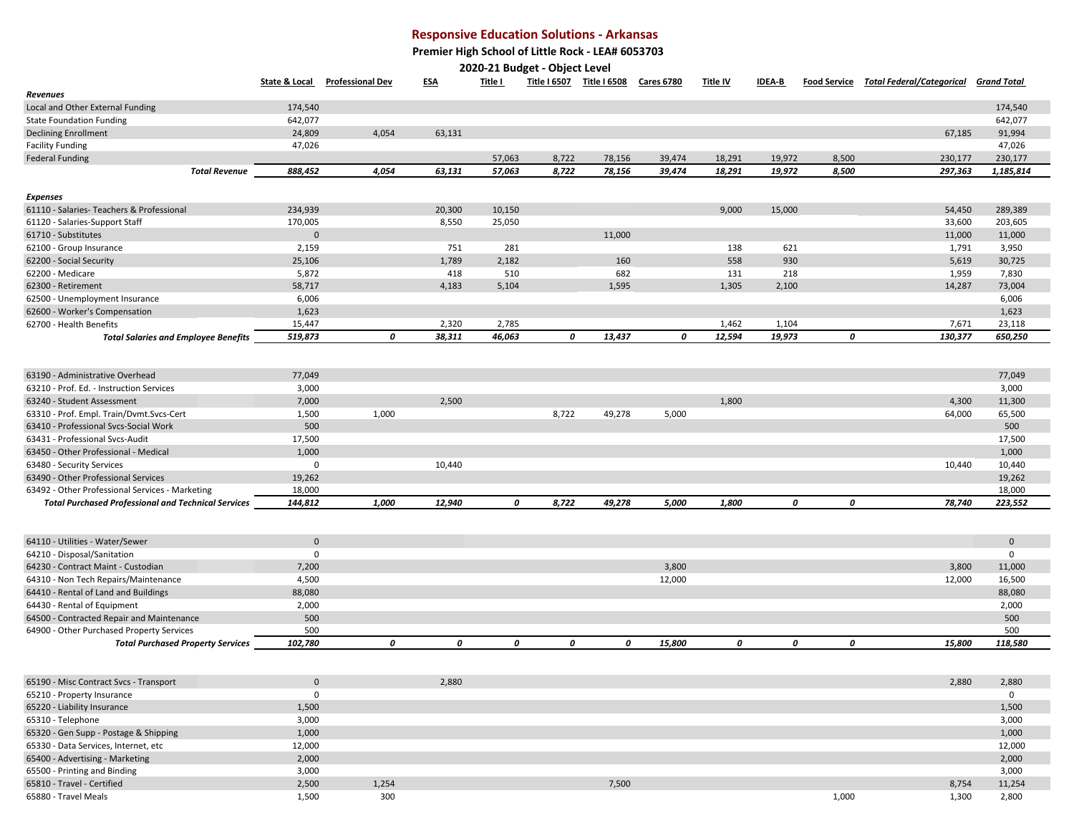## **Responsive Education Solutions - Arkansas**

 **Premier High School of Little Rock - LEA# 6053703**

**2020-21 Budget - Object Level** 

| Revenues<br>174,540<br>174,540<br>Local and Other External Funding<br>642,077<br>642,077<br>63,131<br>91,994<br><b>Declining Enrollment</b><br>24,809<br>4,054<br>67,185<br>47,026<br><b>Facility Funding</b><br>47,026<br>230,177<br>57,063<br>8,722<br>78,156<br>39,474<br>18,291<br>19,972<br>8,500<br>230,177<br><b>Federal Funding</b><br>8,722<br>888,452<br>4,054<br>63,131<br>57,063<br>78,156<br>39,474<br>18,291<br>19,972<br>8,500<br>297,363<br>1,185,814<br><b>Total Revenue</b><br><b>Expenses</b><br>234,939<br>10,150<br>61110 - Salaries- Teachers & Professional<br>20,300<br>9,000<br>15,000<br>54,450<br>289,389<br>8,550<br>25,050<br>33,600<br>170,005<br>203,605<br>$\mathbf 0$<br>11,000<br>11,000<br>11,000<br>751<br>281<br>3,950<br>62100 - Group Insurance<br>2,159<br>138<br>621<br>1,791<br>1,789<br>2,182<br>558<br>930<br>5,619<br>62200 - Social Security<br>25,106<br>160<br>30,725<br>418<br>510<br>682<br>1,959<br>5,872<br>131<br>218<br>7,830<br>58,717<br>4,183<br>5,104<br>1,595<br>1,305<br>14,287<br>62300 - Retirement<br>2,100<br>73,004<br>6,006<br>6,006<br>62500 - Unemployment Insurance<br>1,623<br>62600 - Worker's Compensation<br>1,623<br>2,320<br>2,785<br>15,447<br>1,462<br>1,104<br>7,671<br>23,118<br>62700 - Health Benefits<br>0<br>519,873<br>38,311<br>46,063<br>0<br>13,437<br>0<br>12,594<br>19,973<br>0<br>650,250<br>130,377<br><b>Total Salaries and Employee Benefits</b><br>63190 - Administrative Overhead<br>77,049<br>77,049<br>3,000<br>63210 - Prof. Ed. - Instruction Services<br>3,000<br>7,000<br>2,500<br>1,800<br>4,300<br>11,300<br>63240 - Student Assessment<br>8,722<br>63310 - Prof. Empl. Train/Dvmt.Svcs-Cert<br>1,500<br>1,000<br>49,278<br>5,000<br>64,000<br>65,500<br>500<br>500<br>63410 - Professional Svcs-Social Work<br>17,500<br>63431 - Professional Svcs-Audit<br>17,500<br>1,000<br>63450 - Other Professional - Medical<br>1,000<br>10,440<br>10,440<br>63480 - Security Services<br>0<br>10,440<br>19,262<br>63490 - Other Professional Services<br>19,262<br>18,000<br>63492 - Other Professional Services - Marketing<br>18,000<br>144,812<br>1,000<br>12,940<br>0<br>8,722<br>49,278<br>5,000<br>1,800<br>0<br>0<br>78,740<br>223,552<br><b>Total Purchased Professional and Technical Services</b><br>64110 - Utilities - Water/Sewer<br>$\mathbf 0$<br>$\mathbf 0$<br>0<br>$\mathbf 0$<br>64210 - Disposal/Sanitation<br>3,800<br>3,800<br>11,000<br>64230 - Contract Maint - Custodian<br>7,200<br>12,000<br>12,000<br>64310 - Non Tech Repairs/Maintenance<br>4,500<br>16,500<br>64410 - Rental of Land and Buildings<br>88,080<br>88,080<br>64430 - Rental of Equipment<br>2,000<br>2,000<br>500<br>500<br>64500 - Contracted Repair and Maintenance<br>500<br>500<br>64900 - Other Purchased Property Services<br>102,780<br>0<br>0<br>0<br>0<br>0<br>15,800<br>0<br>0<br>0<br>15,800<br>118,580<br><b>Total Purchased Property Services</b><br>$\mathbf 0$<br>2,880<br>2,880<br>2,880<br>65190 - Misc Contract Svcs - Transport<br>$\mathbf 0$<br>65210 - Property Insurance<br>$\mathbf 0$<br>65220 - Liability Insurance<br>1,500<br>1,500<br>65310 - Telephone<br>3,000<br>3,000<br>65320 - Gen Supp - Postage & Shipping<br>1,000<br>1,000<br>65330 - Data Services, Internet, etc<br>12,000<br>12,000<br>65400 - Advertising - Marketing<br>2,000<br>2,000<br>3,000<br>65500 - Printing and Binding<br>3,000<br>65810 - Travel - Certified<br>2,500<br>1,254<br>7,500<br>8,754<br>11,254<br>65880 - Travel Meals<br>300<br>1,000<br>1,300<br>2,800<br>1,500 |                                 | <b>State &amp; Local</b> | <b>Professional Dev</b> | <u>ESA</u> | <u>Title I</u> | <u>Title I 6507</u> | <u>Title I 6508</u> | <u>Cares 6780</u> | <u>Title IV</u> | <u>IDEA-B</u> | <b>Food Service</b> Total Federal/Categorical | <u>Grand Total</u> |
|---------------------------------------------------------------------------------------------------------------------------------------------------------------------------------------------------------------------------------------------------------------------------------------------------------------------------------------------------------------------------------------------------------------------------------------------------------------------------------------------------------------------------------------------------------------------------------------------------------------------------------------------------------------------------------------------------------------------------------------------------------------------------------------------------------------------------------------------------------------------------------------------------------------------------------------------------------------------------------------------------------------------------------------------------------------------------------------------------------------------------------------------------------------------------------------------------------------------------------------------------------------------------------------------------------------------------------------------------------------------------------------------------------------------------------------------------------------------------------------------------------------------------------------------------------------------------------------------------------------------------------------------------------------------------------------------------------------------------------------------------------------------------------------------------------------------------------------------------------------------------------------------------------------------------------------------------------------------------------------------------------------------------------------------------------------------------------------------------------------------------------------------------------------------------------------------------------------------------------------------------------------------------------------------------------------------------------------------------------------------------------------------------------------------------------------------------------------------------------------------------------------------------------------------------------------------------------------------------------------------------------------------------------------------------------------------------------------------------------------------------------------------------------------------------------------------------------------------------------------------------------------------------------------------------------------------------------------------------------------------------------------------------------------------------------------------------------------------------------------------------------------------------------------------------------------------------------------------------------------------------------------------------------------------------------------------------------------------------------------------------------------------------------------------------------------------------------------------------------------------------------------------------------------------------------------------------------|---------------------------------|--------------------------|-------------------------|------------|----------------|---------------------|---------------------|-------------------|-----------------|---------------|-----------------------------------------------|--------------------|
|                                                                                                                                                                                                                                                                                                                                                                                                                                                                                                                                                                                                                                                                                                                                                                                                                                                                                                                                                                                                                                                                                                                                                                                                                                                                                                                                                                                                                                                                                                                                                                                                                                                                                                                                                                                                                                                                                                                                                                                                                                                                                                                                                                                                                                                                                                                                                                                                                                                                                                                                                                                                                                                                                                                                                                                                                                                                                                                                                                                                                                                                                                                                                                                                                                                                                                                                                                                                                                                                                                                                                                                 |                                 |                          |                         |            |                |                     |                     |                   |                 |               |                                               |                    |
|                                                                                                                                                                                                                                                                                                                                                                                                                                                                                                                                                                                                                                                                                                                                                                                                                                                                                                                                                                                                                                                                                                                                                                                                                                                                                                                                                                                                                                                                                                                                                                                                                                                                                                                                                                                                                                                                                                                                                                                                                                                                                                                                                                                                                                                                                                                                                                                                                                                                                                                                                                                                                                                                                                                                                                                                                                                                                                                                                                                                                                                                                                                                                                                                                                                                                                                                                                                                                                                                                                                                                                                 |                                 |                          |                         |            |                |                     |                     |                   |                 |               |                                               |                    |
|                                                                                                                                                                                                                                                                                                                                                                                                                                                                                                                                                                                                                                                                                                                                                                                                                                                                                                                                                                                                                                                                                                                                                                                                                                                                                                                                                                                                                                                                                                                                                                                                                                                                                                                                                                                                                                                                                                                                                                                                                                                                                                                                                                                                                                                                                                                                                                                                                                                                                                                                                                                                                                                                                                                                                                                                                                                                                                                                                                                                                                                                                                                                                                                                                                                                                                                                                                                                                                                                                                                                                                                 | <b>State Foundation Funding</b> |                          |                         |            |                |                     |                     |                   |                 |               |                                               |                    |
|                                                                                                                                                                                                                                                                                                                                                                                                                                                                                                                                                                                                                                                                                                                                                                                                                                                                                                                                                                                                                                                                                                                                                                                                                                                                                                                                                                                                                                                                                                                                                                                                                                                                                                                                                                                                                                                                                                                                                                                                                                                                                                                                                                                                                                                                                                                                                                                                                                                                                                                                                                                                                                                                                                                                                                                                                                                                                                                                                                                                                                                                                                                                                                                                                                                                                                                                                                                                                                                                                                                                                                                 |                                 |                          |                         |            |                |                     |                     |                   |                 |               |                                               |                    |
|                                                                                                                                                                                                                                                                                                                                                                                                                                                                                                                                                                                                                                                                                                                                                                                                                                                                                                                                                                                                                                                                                                                                                                                                                                                                                                                                                                                                                                                                                                                                                                                                                                                                                                                                                                                                                                                                                                                                                                                                                                                                                                                                                                                                                                                                                                                                                                                                                                                                                                                                                                                                                                                                                                                                                                                                                                                                                                                                                                                                                                                                                                                                                                                                                                                                                                                                                                                                                                                                                                                                                                                 |                                 |                          |                         |            |                |                     |                     |                   |                 |               |                                               |                    |
|                                                                                                                                                                                                                                                                                                                                                                                                                                                                                                                                                                                                                                                                                                                                                                                                                                                                                                                                                                                                                                                                                                                                                                                                                                                                                                                                                                                                                                                                                                                                                                                                                                                                                                                                                                                                                                                                                                                                                                                                                                                                                                                                                                                                                                                                                                                                                                                                                                                                                                                                                                                                                                                                                                                                                                                                                                                                                                                                                                                                                                                                                                                                                                                                                                                                                                                                                                                                                                                                                                                                                                                 |                                 |                          |                         |            |                |                     |                     |                   |                 |               |                                               |                    |
|                                                                                                                                                                                                                                                                                                                                                                                                                                                                                                                                                                                                                                                                                                                                                                                                                                                                                                                                                                                                                                                                                                                                                                                                                                                                                                                                                                                                                                                                                                                                                                                                                                                                                                                                                                                                                                                                                                                                                                                                                                                                                                                                                                                                                                                                                                                                                                                                                                                                                                                                                                                                                                                                                                                                                                                                                                                                                                                                                                                                                                                                                                                                                                                                                                                                                                                                                                                                                                                                                                                                                                                 |                                 |                          |                         |            |                |                     |                     |                   |                 |               |                                               |                    |
|                                                                                                                                                                                                                                                                                                                                                                                                                                                                                                                                                                                                                                                                                                                                                                                                                                                                                                                                                                                                                                                                                                                                                                                                                                                                                                                                                                                                                                                                                                                                                                                                                                                                                                                                                                                                                                                                                                                                                                                                                                                                                                                                                                                                                                                                                                                                                                                                                                                                                                                                                                                                                                                                                                                                                                                                                                                                                                                                                                                                                                                                                                                                                                                                                                                                                                                                                                                                                                                                                                                                                                                 |                                 |                          |                         |            |                |                     |                     |                   |                 |               |                                               |                    |
|                                                                                                                                                                                                                                                                                                                                                                                                                                                                                                                                                                                                                                                                                                                                                                                                                                                                                                                                                                                                                                                                                                                                                                                                                                                                                                                                                                                                                                                                                                                                                                                                                                                                                                                                                                                                                                                                                                                                                                                                                                                                                                                                                                                                                                                                                                                                                                                                                                                                                                                                                                                                                                                                                                                                                                                                                                                                                                                                                                                                                                                                                                                                                                                                                                                                                                                                                                                                                                                                                                                                                                                 |                                 |                          |                         |            |                |                     |                     |                   |                 |               |                                               |                    |
|                                                                                                                                                                                                                                                                                                                                                                                                                                                                                                                                                                                                                                                                                                                                                                                                                                                                                                                                                                                                                                                                                                                                                                                                                                                                                                                                                                                                                                                                                                                                                                                                                                                                                                                                                                                                                                                                                                                                                                                                                                                                                                                                                                                                                                                                                                                                                                                                                                                                                                                                                                                                                                                                                                                                                                                                                                                                                                                                                                                                                                                                                                                                                                                                                                                                                                                                                                                                                                                                                                                                                                                 |                                 |                          |                         |            |                |                     |                     |                   |                 |               |                                               |                    |
|                                                                                                                                                                                                                                                                                                                                                                                                                                                                                                                                                                                                                                                                                                                                                                                                                                                                                                                                                                                                                                                                                                                                                                                                                                                                                                                                                                                                                                                                                                                                                                                                                                                                                                                                                                                                                                                                                                                                                                                                                                                                                                                                                                                                                                                                                                                                                                                                                                                                                                                                                                                                                                                                                                                                                                                                                                                                                                                                                                                                                                                                                                                                                                                                                                                                                                                                                                                                                                                                                                                                                                                 | 61120 - Salaries-Support Staff  |                          |                         |            |                |                     |                     |                   |                 |               |                                               |                    |
|                                                                                                                                                                                                                                                                                                                                                                                                                                                                                                                                                                                                                                                                                                                                                                                                                                                                                                                                                                                                                                                                                                                                                                                                                                                                                                                                                                                                                                                                                                                                                                                                                                                                                                                                                                                                                                                                                                                                                                                                                                                                                                                                                                                                                                                                                                                                                                                                                                                                                                                                                                                                                                                                                                                                                                                                                                                                                                                                                                                                                                                                                                                                                                                                                                                                                                                                                                                                                                                                                                                                                                                 | 61710 - Substitutes             |                          |                         |            |                |                     |                     |                   |                 |               |                                               |                    |
|                                                                                                                                                                                                                                                                                                                                                                                                                                                                                                                                                                                                                                                                                                                                                                                                                                                                                                                                                                                                                                                                                                                                                                                                                                                                                                                                                                                                                                                                                                                                                                                                                                                                                                                                                                                                                                                                                                                                                                                                                                                                                                                                                                                                                                                                                                                                                                                                                                                                                                                                                                                                                                                                                                                                                                                                                                                                                                                                                                                                                                                                                                                                                                                                                                                                                                                                                                                                                                                                                                                                                                                 |                                 |                          |                         |            |                |                     |                     |                   |                 |               |                                               |                    |
|                                                                                                                                                                                                                                                                                                                                                                                                                                                                                                                                                                                                                                                                                                                                                                                                                                                                                                                                                                                                                                                                                                                                                                                                                                                                                                                                                                                                                                                                                                                                                                                                                                                                                                                                                                                                                                                                                                                                                                                                                                                                                                                                                                                                                                                                                                                                                                                                                                                                                                                                                                                                                                                                                                                                                                                                                                                                                                                                                                                                                                                                                                                                                                                                                                                                                                                                                                                                                                                                                                                                                                                 |                                 |                          |                         |            |                |                     |                     |                   |                 |               |                                               |                    |
|                                                                                                                                                                                                                                                                                                                                                                                                                                                                                                                                                                                                                                                                                                                                                                                                                                                                                                                                                                                                                                                                                                                                                                                                                                                                                                                                                                                                                                                                                                                                                                                                                                                                                                                                                                                                                                                                                                                                                                                                                                                                                                                                                                                                                                                                                                                                                                                                                                                                                                                                                                                                                                                                                                                                                                                                                                                                                                                                                                                                                                                                                                                                                                                                                                                                                                                                                                                                                                                                                                                                                                                 | 62200 - Medicare                |                          |                         |            |                |                     |                     |                   |                 |               |                                               |                    |
|                                                                                                                                                                                                                                                                                                                                                                                                                                                                                                                                                                                                                                                                                                                                                                                                                                                                                                                                                                                                                                                                                                                                                                                                                                                                                                                                                                                                                                                                                                                                                                                                                                                                                                                                                                                                                                                                                                                                                                                                                                                                                                                                                                                                                                                                                                                                                                                                                                                                                                                                                                                                                                                                                                                                                                                                                                                                                                                                                                                                                                                                                                                                                                                                                                                                                                                                                                                                                                                                                                                                                                                 |                                 |                          |                         |            |                |                     |                     |                   |                 |               |                                               |                    |
|                                                                                                                                                                                                                                                                                                                                                                                                                                                                                                                                                                                                                                                                                                                                                                                                                                                                                                                                                                                                                                                                                                                                                                                                                                                                                                                                                                                                                                                                                                                                                                                                                                                                                                                                                                                                                                                                                                                                                                                                                                                                                                                                                                                                                                                                                                                                                                                                                                                                                                                                                                                                                                                                                                                                                                                                                                                                                                                                                                                                                                                                                                                                                                                                                                                                                                                                                                                                                                                                                                                                                                                 |                                 |                          |                         |            |                |                     |                     |                   |                 |               |                                               |                    |
|                                                                                                                                                                                                                                                                                                                                                                                                                                                                                                                                                                                                                                                                                                                                                                                                                                                                                                                                                                                                                                                                                                                                                                                                                                                                                                                                                                                                                                                                                                                                                                                                                                                                                                                                                                                                                                                                                                                                                                                                                                                                                                                                                                                                                                                                                                                                                                                                                                                                                                                                                                                                                                                                                                                                                                                                                                                                                                                                                                                                                                                                                                                                                                                                                                                                                                                                                                                                                                                                                                                                                                                 |                                 |                          |                         |            |                |                     |                     |                   |                 |               |                                               |                    |
|                                                                                                                                                                                                                                                                                                                                                                                                                                                                                                                                                                                                                                                                                                                                                                                                                                                                                                                                                                                                                                                                                                                                                                                                                                                                                                                                                                                                                                                                                                                                                                                                                                                                                                                                                                                                                                                                                                                                                                                                                                                                                                                                                                                                                                                                                                                                                                                                                                                                                                                                                                                                                                                                                                                                                                                                                                                                                                                                                                                                                                                                                                                                                                                                                                                                                                                                                                                                                                                                                                                                                                                 |                                 |                          |                         |            |                |                     |                     |                   |                 |               |                                               |                    |
|                                                                                                                                                                                                                                                                                                                                                                                                                                                                                                                                                                                                                                                                                                                                                                                                                                                                                                                                                                                                                                                                                                                                                                                                                                                                                                                                                                                                                                                                                                                                                                                                                                                                                                                                                                                                                                                                                                                                                                                                                                                                                                                                                                                                                                                                                                                                                                                                                                                                                                                                                                                                                                                                                                                                                                                                                                                                                                                                                                                                                                                                                                                                                                                                                                                                                                                                                                                                                                                                                                                                                                                 |                                 |                          |                         |            |                |                     |                     |                   |                 |               |                                               |                    |
|                                                                                                                                                                                                                                                                                                                                                                                                                                                                                                                                                                                                                                                                                                                                                                                                                                                                                                                                                                                                                                                                                                                                                                                                                                                                                                                                                                                                                                                                                                                                                                                                                                                                                                                                                                                                                                                                                                                                                                                                                                                                                                                                                                                                                                                                                                                                                                                                                                                                                                                                                                                                                                                                                                                                                                                                                                                                                                                                                                                                                                                                                                                                                                                                                                                                                                                                                                                                                                                                                                                                                                                 |                                 |                          |                         |            |                |                     |                     |                   |                 |               |                                               |                    |
|                                                                                                                                                                                                                                                                                                                                                                                                                                                                                                                                                                                                                                                                                                                                                                                                                                                                                                                                                                                                                                                                                                                                                                                                                                                                                                                                                                                                                                                                                                                                                                                                                                                                                                                                                                                                                                                                                                                                                                                                                                                                                                                                                                                                                                                                                                                                                                                                                                                                                                                                                                                                                                                                                                                                                                                                                                                                                                                                                                                                                                                                                                                                                                                                                                                                                                                                                                                                                                                                                                                                                                                 |                                 |                          |                         |            |                |                     |                     |                   |                 |               |                                               |                    |
|                                                                                                                                                                                                                                                                                                                                                                                                                                                                                                                                                                                                                                                                                                                                                                                                                                                                                                                                                                                                                                                                                                                                                                                                                                                                                                                                                                                                                                                                                                                                                                                                                                                                                                                                                                                                                                                                                                                                                                                                                                                                                                                                                                                                                                                                                                                                                                                                                                                                                                                                                                                                                                                                                                                                                                                                                                                                                                                                                                                                                                                                                                                                                                                                                                                                                                                                                                                                                                                                                                                                                                                 |                                 |                          |                         |            |                |                     |                     |                   |                 |               |                                               |                    |
|                                                                                                                                                                                                                                                                                                                                                                                                                                                                                                                                                                                                                                                                                                                                                                                                                                                                                                                                                                                                                                                                                                                                                                                                                                                                                                                                                                                                                                                                                                                                                                                                                                                                                                                                                                                                                                                                                                                                                                                                                                                                                                                                                                                                                                                                                                                                                                                                                                                                                                                                                                                                                                                                                                                                                                                                                                                                                                                                                                                                                                                                                                                                                                                                                                                                                                                                                                                                                                                                                                                                                                                 |                                 |                          |                         |            |                |                     |                     |                   |                 |               |                                               |                    |
|                                                                                                                                                                                                                                                                                                                                                                                                                                                                                                                                                                                                                                                                                                                                                                                                                                                                                                                                                                                                                                                                                                                                                                                                                                                                                                                                                                                                                                                                                                                                                                                                                                                                                                                                                                                                                                                                                                                                                                                                                                                                                                                                                                                                                                                                                                                                                                                                                                                                                                                                                                                                                                                                                                                                                                                                                                                                                                                                                                                                                                                                                                                                                                                                                                                                                                                                                                                                                                                                                                                                                                                 |                                 |                          |                         |            |                |                     |                     |                   |                 |               |                                               |                    |
|                                                                                                                                                                                                                                                                                                                                                                                                                                                                                                                                                                                                                                                                                                                                                                                                                                                                                                                                                                                                                                                                                                                                                                                                                                                                                                                                                                                                                                                                                                                                                                                                                                                                                                                                                                                                                                                                                                                                                                                                                                                                                                                                                                                                                                                                                                                                                                                                                                                                                                                                                                                                                                                                                                                                                                                                                                                                                                                                                                                                                                                                                                                                                                                                                                                                                                                                                                                                                                                                                                                                                                                 |                                 |                          |                         |            |                |                     |                     |                   |                 |               |                                               |                    |
|                                                                                                                                                                                                                                                                                                                                                                                                                                                                                                                                                                                                                                                                                                                                                                                                                                                                                                                                                                                                                                                                                                                                                                                                                                                                                                                                                                                                                                                                                                                                                                                                                                                                                                                                                                                                                                                                                                                                                                                                                                                                                                                                                                                                                                                                                                                                                                                                                                                                                                                                                                                                                                                                                                                                                                                                                                                                                                                                                                                                                                                                                                                                                                                                                                                                                                                                                                                                                                                                                                                                                                                 |                                 |                          |                         |            |                |                     |                     |                   |                 |               |                                               |                    |
|                                                                                                                                                                                                                                                                                                                                                                                                                                                                                                                                                                                                                                                                                                                                                                                                                                                                                                                                                                                                                                                                                                                                                                                                                                                                                                                                                                                                                                                                                                                                                                                                                                                                                                                                                                                                                                                                                                                                                                                                                                                                                                                                                                                                                                                                                                                                                                                                                                                                                                                                                                                                                                                                                                                                                                                                                                                                                                                                                                                                                                                                                                                                                                                                                                                                                                                                                                                                                                                                                                                                                                                 |                                 |                          |                         |            |                |                     |                     |                   |                 |               |                                               |                    |
|                                                                                                                                                                                                                                                                                                                                                                                                                                                                                                                                                                                                                                                                                                                                                                                                                                                                                                                                                                                                                                                                                                                                                                                                                                                                                                                                                                                                                                                                                                                                                                                                                                                                                                                                                                                                                                                                                                                                                                                                                                                                                                                                                                                                                                                                                                                                                                                                                                                                                                                                                                                                                                                                                                                                                                                                                                                                                                                                                                                                                                                                                                                                                                                                                                                                                                                                                                                                                                                                                                                                                                                 |                                 |                          |                         |            |                |                     |                     |                   |                 |               |                                               |                    |
|                                                                                                                                                                                                                                                                                                                                                                                                                                                                                                                                                                                                                                                                                                                                                                                                                                                                                                                                                                                                                                                                                                                                                                                                                                                                                                                                                                                                                                                                                                                                                                                                                                                                                                                                                                                                                                                                                                                                                                                                                                                                                                                                                                                                                                                                                                                                                                                                                                                                                                                                                                                                                                                                                                                                                                                                                                                                                                                                                                                                                                                                                                                                                                                                                                                                                                                                                                                                                                                                                                                                                                                 |                                 |                          |                         |            |                |                     |                     |                   |                 |               |                                               |                    |
|                                                                                                                                                                                                                                                                                                                                                                                                                                                                                                                                                                                                                                                                                                                                                                                                                                                                                                                                                                                                                                                                                                                                                                                                                                                                                                                                                                                                                                                                                                                                                                                                                                                                                                                                                                                                                                                                                                                                                                                                                                                                                                                                                                                                                                                                                                                                                                                                                                                                                                                                                                                                                                                                                                                                                                                                                                                                                                                                                                                                                                                                                                                                                                                                                                                                                                                                                                                                                                                                                                                                                                                 |                                 |                          |                         |            |                |                     |                     |                   |                 |               |                                               |                    |
|                                                                                                                                                                                                                                                                                                                                                                                                                                                                                                                                                                                                                                                                                                                                                                                                                                                                                                                                                                                                                                                                                                                                                                                                                                                                                                                                                                                                                                                                                                                                                                                                                                                                                                                                                                                                                                                                                                                                                                                                                                                                                                                                                                                                                                                                                                                                                                                                                                                                                                                                                                                                                                                                                                                                                                                                                                                                                                                                                                                                                                                                                                                                                                                                                                                                                                                                                                                                                                                                                                                                                                                 |                                 |                          |                         |            |                |                     |                     |                   |                 |               |                                               |                    |
|                                                                                                                                                                                                                                                                                                                                                                                                                                                                                                                                                                                                                                                                                                                                                                                                                                                                                                                                                                                                                                                                                                                                                                                                                                                                                                                                                                                                                                                                                                                                                                                                                                                                                                                                                                                                                                                                                                                                                                                                                                                                                                                                                                                                                                                                                                                                                                                                                                                                                                                                                                                                                                                                                                                                                                                                                                                                                                                                                                                                                                                                                                                                                                                                                                                                                                                                                                                                                                                                                                                                                                                 |                                 |                          |                         |            |                |                     |                     |                   |                 |               |                                               |                    |
|                                                                                                                                                                                                                                                                                                                                                                                                                                                                                                                                                                                                                                                                                                                                                                                                                                                                                                                                                                                                                                                                                                                                                                                                                                                                                                                                                                                                                                                                                                                                                                                                                                                                                                                                                                                                                                                                                                                                                                                                                                                                                                                                                                                                                                                                                                                                                                                                                                                                                                                                                                                                                                                                                                                                                                                                                                                                                                                                                                                                                                                                                                                                                                                                                                                                                                                                                                                                                                                                                                                                                                                 |                                 |                          |                         |            |                |                     |                     |                   |                 |               |                                               |                    |
|                                                                                                                                                                                                                                                                                                                                                                                                                                                                                                                                                                                                                                                                                                                                                                                                                                                                                                                                                                                                                                                                                                                                                                                                                                                                                                                                                                                                                                                                                                                                                                                                                                                                                                                                                                                                                                                                                                                                                                                                                                                                                                                                                                                                                                                                                                                                                                                                                                                                                                                                                                                                                                                                                                                                                                                                                                                                                                                                                                                                                                                                                                                                                                                                                                                                                                                                                                                                                                                                                                                                                                                 |                                 |                          |                         |            |                |                     |                     |                   |                 |               |                                               |                    |
|                                                                                                                                                                                                                                                                                                                                                                                                                                                                                                                                                                                                                                                                                                                                                                                                                                                                                                                                                                                                                                                                                                                                                                                                                                                                                                                                                                                                                                                                                                                                                                                                                                                                                                                                                                                                                                                                                                                                                                                                                                                                                                                                                                                                                                                                                                                                                                                                                                                                                                                                                                                                                                                                                                                                                                                                                                                                                                                                                                                                                                                                                                                                                                                                                                                                                                                                                                                                                                                                                                                                                                                 |                                 |                          |                         |            |                |                     |                     |                   |                 |               |                                               |                    |
|                                                                                                                                                                                                                                                                                                                                                                                                                                                                                                                                                                                                                                                                                                                                                                                                                                                                                                                                                                                                                                                                                                                                                                                                                                                                                                                                                                                                                                                                                                                                                                                                                                                                                                                                                                                                                                                                                                                                                                                                                                                                                                                                                                                                                                                                                                                                                                                                                                                                                                                                                                                                                                                                                                                                                                                                                                                                                                                                                                                                                                                                                                                                                                                                                                                                                                                                                                                                                                                                                                                                                                                 |                                 |                          |                         |            |                |                     |                     |                   |                 |               |                                               |                    |
|                                                                                                                                                                                                                                                                                                                                                                                                                                                                                                                                                                                                                                                                                                                                                                                                                                                                                                                                                                                                                                                                                                                                                                                                                                                                                                                                                                                                                                                                                                                                                                                                                                                                                                                                                                                                                                                                                                                                                                                                                                                                                                                                                                                                                                                                                                                                                                                                                                                                                                                                                                                                                                                                                                                                                                                                                                                                                                                                                                                                                                                                                                                                                                                                                                                                                                                                                                                                                                                                                                                                                                                 |                                 |                          |                         |            |                |                     |                     |                   |                 |               |                                               |                    |
|                                                                                                                                                                                                                                                                                                                                                                                                                                                                                                                                                                                                                                                                                                                                                                                                                                                                                                                                                                                                                                                                                                                                                                                                                                                                                                                                                                                                                                                                                                                                                                                                                                                                                                                                                                                                                                                                                                                                                                                                                                                                                                                                                                                                                                                                                                                                                                                                                                                                                                                                                                                                                                                                                                                                                                                                                                                                                                                                                                                                                                                                                                                                                                                                                                                                                                                                                                                                                                                                                                                                                                                 |                                 |                          |                         |            |                |                     |                     |                   |                 |               |                                               |                    |
|                                                                                                                                                                                                                                                                                                                                                                                                                                                                                                                                                                                                                                                                                                                                                                                                                                                                                                                                                                                                                                                                                                                                                                                                                                                                                                                                                                                                                                                                                                                                                                                                                                                                                                                                                                                                                                                                                                                                                                                                                                                                                                                                                                                                                                                                                                                                                                                                                                                                                                                                                                                                                                                                                                                                                                                                                                                                                                                                                                                                                                                                                                                                                                                                                                                                                                                                                                                                                                                                                                                                                                                 |                                 |                          |                         |            |                |                     |                     |                   |                 |               |                                               |                    |
|                                                                                                                                                                                                                                                                                                                                                                                                                                                                                                                                                                                                                                                                                                                                                                                                                                                                                                                                                                                                                                                                                                                                                                                                                                                                                                                                                                                                                                                                                                                                                                                                                                                                                                                                                                                                                                                                                                                                                                                                                                                                                                                                                                                                                                                                                                                                                                                                                                                                                                                                                                                                                                                                                                                                                                                                                                                                                                                                                                                                                                                                                                                                                                                                                                                                                                                                                                                                                                                                                                                                                                                 |                                 |                          |                         |            |                |                     |                     |                   |                 |               |                                               |                    |
|                                                                                                                                                                                                                                                                                                                                                                                                                                                                                                                                                                                                                                                                                                                                                                                                                                                                                                                                                                                                                                                                                                                                                                                                                                                                                                                                                                                                                                                                                                                                                                                                                                                                                                                                                                                                                                                                                                                                                                                                                                                                                                                                                                                                                                                                                                                                                                                                                                                                                                                                                                                                                                                                                                                                                                                                                                                                                                                                                                                                                                                                                                                                                                                                                                                                                                                                                                                                                                                                                                                                                                                 |                                 |                          |                         |            |                |                     |                     |                   |                 |               |                                               |                    |
|                                                                                                                                                                                                                                                                                                                                                                                                                                                                                                                                                                                                                                                                                                                                                                                                                                                                                                                                                                                                                                                                                                                                                                                                                                                                                                                                                                                                                                                                                                                                                                                                                                                                                                                                                                                                                                                                                                                                                                                                                                                                                                                                                                                                                                                                                                                                                                                                                                                                                                                                                                                                                                                                                                                                                                                                                                                                                                                                                                                                                                                                                                                                                                                                                                                                                                                                                                                                                                                                                                                                                                                 |                                 |                          |                         |            |                |                     |                     |                   |                 |               |                                               |                    |
|                                                                                                                                                                                                                                                                                                                                                                                                                                                                                                                                                                                                                                                                                                                                                                                                                                                                                                                                                                                                                                                                                                                                                                                                                                                                                                                                                                                                                                                                                                                                                                                                                                                                                                                                                                                                                                                                                                                                                                                                                                                                                                                                                                                                                                                                                                                                                                                                                                                                                                                                                                                                                                                                                                                                                                                                                                                                                                                                                                                                                                                                                                                                                                                                                                                                                                                                                                                                                                                                                                                                                                                 |                                 |                          |                         |            |                |                     |                     |                   |                 |               |                                               |                    |
|                                                                                                                                                                                                                                                                                                                                                                                                                                                                                                                                                                                                                                                                                                                                                                                                                                                                                                                                                                                                                                                                                                                                                                                                                                                                                                                                                                                                                                                                                                                                                                                                                                                                                                                                                                                                                                                                                                                                                                                                                                                                                                                                                                                                                                                                                                                                                                                                                                                                                                                                                                                                                                                                                                                                                                                                                                                                                                                                                                                                                                                                                                                                                                                                                                                                                                                                                                                                                                                                                                                                                                                 |                                 |                          |                         |            |                |                     |                     |                   |                 |               |                                               |                    |
|                                                                                                                                                                                                                                                                                                                                                                                                                                                                                                                                                                                                                                                                                                                                                                                                                                                                                                                                                                                                                                                                                                                                                                                                                                                                                                                                                                                                                                                                                                                                                                                                                                                                                                                                                                                                                                                                                                                                                                                                                                                                                                                                                                                                                                                                                                                                                                                                                                                                                                                                                                                                                                                                                                                                                                                                                                                                                                                                                                                                                                                                                                                                                                                                                                                                                                                                                                                                                                                                                                                                                                                 |                                 |                          |                         |            |                |                     |                     |                   |                 |               |                                               |                    |
|                                                                                                                                                                                                                                                                                                                                                                                                                                                                                                                                                                                                                                                                                                                                                                                                                                                                                                                                                                                                                                                                                                                                                                                                                                                                                                                                                                                                                                                                                                                                                                                                                                                                                                                                                                                                                                                                                                                                                                                                                                                                                                                                                                                                                                                                                                                                                                                                                                                                                                                                                                                                                                                                                                                                                                                                                                                                                                                                                                                                                                                                                                                                                                                                                                                                                                                                                                                                                                                                                                                                                                                 |                                 |                          |                         |            |                |                     |                     |                   |                 |               |                                               |                    |
|                                                                                                                                                                                                                                                                                                                                                                                                                                                                                                                                                                                                                                                                                                                                                                                                                                                                                                                                                                                                                                                                                                                                                                                                                                                                                                                                                                                                                                                                                                                                                                                                                                                                                                                                                                                                                                                                                                                                                                                                                                                                                                                                                                                                                                                                                                                                                                                                                                                                                                                                                                                                                                                                                                                                                                                                                                                                                                                                                                                                                                                                                                                                                                                                                                                                                                                                                                                                                                                                                                                                                                                 |                                 |                          |                         |            |                |                     |                     |                   |                 |               |                                               |                    |
|                                                                                                                                                                                                                                                                                                                                                                                                                                                                                                                                                                                                                                                                                                                                                                                                                                                                                                                                                                                                                                                                                                                                                                                                                                                                                                                                                                                                                                                                                                                                                                                                                                                                                                                                                                                                                                                                                                                                                                                                                                                                                                                                                                                                                                                                                                                                                                                                                                                                                                                                                                                                                                                                                                                                                                                                                                                                                                                                                                                                                                                                                                                                                                                                                                                                                                                                                                                                                                                                                                                                                                                 |                                 |                          |                         |            |                |                     |                     |                   |                 |               |                                               |                    |
|                                                                                                                                                                                                                                                                                                                                                                                                                                                                                                                                                                                                                                                                                                                                                                                                                                                                                                                                                                                                                                                                                                                                                                                                                                                                                                                                                                                                                                                                                                                                                                                                                                                                                                                                                                                                                                                                                                                                                                                                                                                                                                                                                                                                                                                                                                                                                                                                                                                                                                                                                                                                                                                                                                                                                                                                                                                                                                                                                                                                                                                                                                                                                                                                                                                                                                                                                                                                                                                                                                                                                                                 |                                 |                          |                         |            |                |                     |                     |                   |                 |               |                                               |                    |
|                                                                                                                                                                                                                                                                                                                                                                                                                                                                                                                                                                                                                                                                                                                                                                                                                                                                                                                                                                                                                                                                                                                                                                                                                                                                                                                                                                                                                                                                                                                                                                                                                                                                                                                                                                                                                                                                                                                                                                                                                                                                                                                                                                                                                                                                                                                                                                                                                                                                                                                                                                                                                                                                                                                                                                                                                                                                                                                                                                                                                                                                                                                                                                                                                                                                                                                                                                                                                                                                                                                                                                                 |                                 |                          |                         |            |                |                     |                     |                   |                 |               |                                               |                    |
|                                                                                                                                                                                                                                                                                                                                                                                                                                                                                                                                                                                                                                                                                                                                                                                                                                                                                                                                                                                                                                                                                                                                                                                                                                                                                                                                                                                                                                                                                                                                                                                                                                                                                                                                                                                                                                                                                                                                                                                                                                                                                                                                                                                                                                                                                                                                                                                                                                                                                                                                                                                                                                                                                                                                                                                                                                                                                                                                                                                                                                                                                                                                                                                                                                                                                                                                                                                                                                                                                                                                                                                 |                                 |                          |                         |            |                |                     |                     |                   |                 |               |                                               |                    |
|                                                                                                                                                                                                                                                                                                                                                                                                                                                                                                                                                                                                                                                                                                                                                                                                                                                                                                                                                                                                                                                                                                                                                                                                                                                                                                                                                                                                                                                                                                                                                                                                                                                                                                                                                                                                                                                                                                                                                                                                                                                                                                                                                                                                                                                                                                                                                                                                                                                                                                                                                                                                                                                                                                                                                                                                                                                                                                                                                                                                                                                                                                                                                                                                                                                                                                                                                                                                                                                                                                                                                                                 |                                 |                          |                         |            |                |                     |                     |                   |                 |               |                                               |                    |
|                                                                                                                                                                                                                                                                                                                                                                                                                                                                                                                                                                                                                                                                                                                                                                                                                                                                                                                                                                                                                                                                                                                                                                                                                                                                                                                                                                                                                                                                                                                                                                                                                                                                                                                                                                                                                                                                                                                                                                                                                                                                                                                                                                                                                                                                                                                                                                                                                                                                                                                                                                                                                                                                                                                                                                                                                                                                                                                                                                                                                                                                                                                                                                                                                                                                                                                                                                                                                                                                                                                                                                                 |                                 |                          |                         |            |                |                     |                     |                   |                 |               |                                               |                    |
|                                                                                                                                                                                                                                                                                                                                                                                                                                                                                                                                                                                                                                                                                                                                                                                                                                                                                                                                                                                                                                                                                                                                                                                                                                                                                                                                                                                                                                                                                                                                                                                                                                                                                                                                                                                                                                                                                                                                                                                                                                                                                                                                                                                                                                                                                                                                                                                                                                                                                                                                                                                                                                                                                                                                                                                                                                                                                                                                                                                                                                                                                                                                                                                                                                                                                                                                                                                                                                                                                                                                                                                 |                                 |                          |                         |            |                |                     |                     |                   |                 |               |                                               |                    |